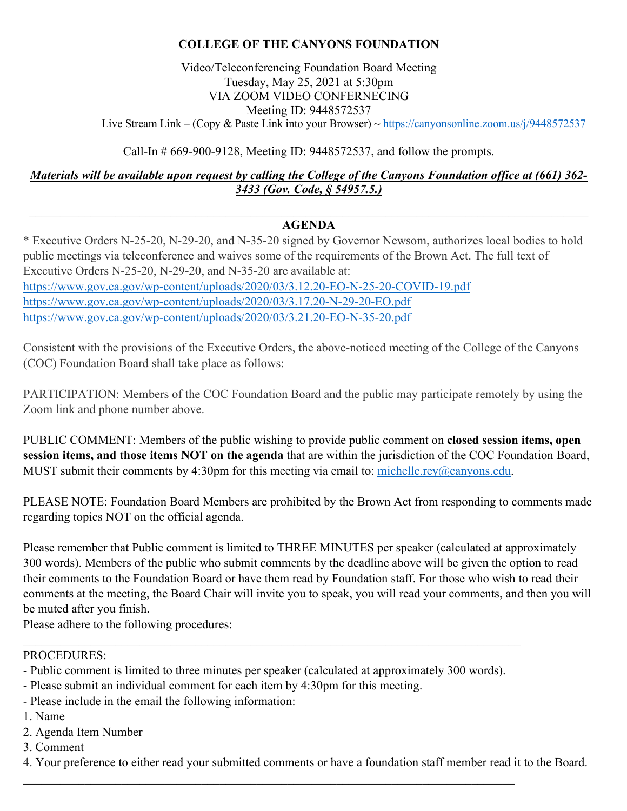# **COLLEGE OF THE CANYONS FOUNDATION**

# Video/Teleconferencing Foundation Board Meeting Tuesday, May 25, 2021 at 5:30pm VIA ZOOM VIDEO CONFERNECING Meeting ID: 9448572537

Live Stream Link – (Copy & Paste Link into your Browser) ~ <https://canyonsonline.zoom.us/j/9448572537>

Call-In # 669-900-9128, Meeting ID: 9448572537, and follow the prompts.

*Materials will be available upon request by calling the College of the Canyons Foundation office at (661) 362- 3433 (Gov. Code, § 54957.5.)*

### **AGENDA**

\* Executive Orders N-25-20, N-29-20, and N-35-20 signed by Governor Newsom, authorizes local bodies to hold public meetings via teleconference and waives some of the requirements of the Brown Act. The full text of Executive Orders N-25-20, N-29-20, and N-35-20 are available at: <https://www.gov.ca.gov/wp-content/uploads/2020/03/3.12.20-EO-N-25-20-COVID-19.pdf> <https://www.gov.ca.gov/wp-content/uploads/2020/03/3.17.20-N-29-20-EO.pdf> <https://www.gov.ca.gov/wp-content/uploads/2020/03/3.21.20-EO-N-35-20.pdf>

Consistent with the provisions of the Executive Orders, the above-noticed meeting of the College of the Canyons (COC) Foundation Board shall take place as follows:

PARTICIPATION: Members of the COC Foundation Board and the public may participate remotely by using the Zoom link and phone number above.

PUBLIC COMMENT: Members of the public wishing to provide public comment on **closed session items, open session items, and those items NOT on the agenda** that are within the jurisdiction of the COC Foundation Board, MUST submit their comments by 4:30pm for this meeting via email to: [michelle.rey@canyons.edu.](mailto:michelle.rey@canyons.edu)

PLEASE NOTE: Foundation Board Members are prohibited by the Brown Act from responding to comments made regarding topics NOT on the official agenda.

Please remember that Public comment is limited to THREE MINUTES per speaker (calculated at approximately 300 words). Members of the public who submit comments by the deadline above will be given the option to read their comments to the Foundation Board or have them read by Foundation staff. For those who wish to read their comments at the meeting, the Board Chair will invite you to speak, you will read your comments, and then you will be muted after you finish.

Please adhere to the following procedures:

#### PROCEDURES:

- Public comment is limited to three minutes per speaker (calculated at approximately 300 words).

\_\_\_\_\_\_\_\_\_\_\_\_\_\_\_\_\_\_\_\_\_\_\_\_\_\_\_\_\_\_\_\_\_\_\_\_\_\_\_\_\_\_\_\_\_\_\_\_\_\_\_\_\_\_\_\_\_\_\_\_\_\_\_\_\_\_\_\_\_\_\_\_\_\_\_\_\_\_\_\_

\_\_\_\_\_\_\_\_\_\_\_\_\_\_\_\_\_\_\_\_\_\_\_\_\_\_\_\_\_\_\_\_\_\_\_\_\_\_\_\_\_\_\_\_\_\_\_\_\_\_\_\_\_\_\_\_\_\_\_\_\_\_\_\_\_\_\_\_\_\_\_\_\_\_\_\_\_\_\_\_\_

- Please submit an individual comment for each item by 4:30pm for this meeting.
- Please include in the email the following information:
- 1. Name
- 2. Agenda Item Number
- 3. Comment

4. Your preference to either read your submitted comments or have a foundation staff member read it to the Board.